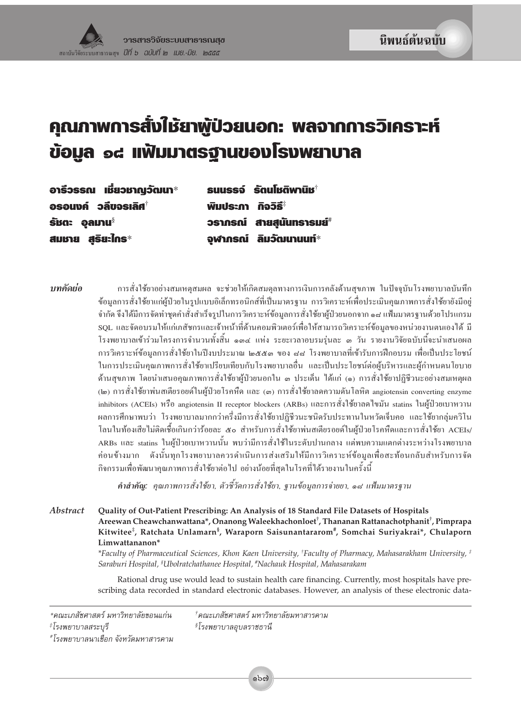# ี คุณภาพการสั่งใช้ยาพู้ป่วยนอก: พลจากการวิเคราะห์ ข้อมูล ๑๘ แฟ้มมาตรฐานของโรงพยาบาล

อารีวรรณ เชี่ยวชาญวัฒนา $^*$ อรอนงค์ วลีขจรเลิศ $^\dagger$ รัชตะ อลมาน $^{\scriptscriptstyle \mathrm{\S}}$ สมชาย สริยะใกร $^*$ 

รนบรรจ์ รัตนโหติพานิห $^{\dagger}$ **Wิมประกา กิจวิธี**\* วรากรณ์ สายสุนันทรารมย์ จุฬาภรณ์ ลิมวัฒนานนท์ $^*$ 

บทคัดย่อ การสั่งใช้ยาอย่างสมเหตุสมผล จะช่วยให้เกิดสมดุลทางการเงินการคลังด้านสุขภาพ ในปัจจุบันโรงพยาบาลบันทึก ข้อมูลการสั่งใช้ยาแก่ผู้ป่วยในรูปแบบอิเล็กทรอนิกส์ที่เป็นมาตรฐาน การวิเคราะห์เพื่อประเมินคุณภาพการสั่งใช้ยายังมีอยู่ จำกัด จึงได้มีการจัดทำชุดคำสั่งสำเร็จรูปในการวิเคราะห์ข้อมูลการสั่งใช้ยาผู้ป่วยนอกจาก ๑๘ แฟ้มมาตรฐานด้วยโปรแกรม SQL และจัดอบรมให้แก่เภสัชกรและเจ้าหน้าที่ด้านคอมพิวเตอร์เพื่อให้สามารถวิเคราะห์ข้อมูลของหน่วยงานตนเองได้ มี โรงพยาบาลเข้าร่วมโครงการจำนวนทั้งสิ้น ๑๓๔ แห่ง ระยะเวลาอบรมร่นละ ๓ วัน รายงานวิจัยฉบับนี้จะนำเสนอผล ึการวิเคราะห์ข้อมูลการสั่งใช้ยาในปีงบประมาณ ๒๕๕๑ ของ ๘๘ โรงพยาบาลที่เข้ารับการฝึกอบรม เพื่อเป็นประโยชน์ ในการประเมินคุณภาพการสั่งใช้ยาเปรียบเทียบกับโรงพยาบาลอื่น และเป็นประโยชน์ต่อผู้บริหารและผู้กำหนดนโยบาย ด้านสุขภาพ โดยนำเสนอคุณภาพการสั่งใช้ยาผู้ป่วยนอกใน ๓ ประเด็น ได้แก่ (๑) การสั่งใช้ยาปฏิชีวนะอย่างสมเหตุผล (๒) การสั่งใช้ยาพ่นสเตียรอยค์ในผู้ป่วยโรคหืด และ (๓) การสั่งใช้ยาลคความคันโลหิต angiotensin converting enzyme inhibitors (ACEIs) หรือ angiotensin II receptor blockers (ARBs) และการสั่งใช้ยาลคไขมัน statins ในผู้ป่วยเบาหวาน ผลการศึกษาพบว่า โรงพยาบาลมากกว่าครึ่งมีการสั่งใช้ยาปฏิชีวนะชนิดรับประทานในหวัดเจ็บคอ และใช้ยากลุ่มควิโน โลนในท้องเสียไม่ติดเชื้อเกินกว่าร้อยละ ๕๐ สำหรับการสั่งใช้ยาพ่นสเตียรอยค์ในผู้ป่วยโรคหืดและการสั่งใช้ยา ACEIs/ ARBs และ statins ในผู้ป่วยเบาหวานนั้น พบว่ามีการสั่งใช้ในระดับปานกลาง แต่พบความแตกต่างระหว่างโรงพยาบาล ้ค่อนข้างมาก ดังนั้นทุกโรงพยาบาลควรคำเนินการส่งเสริมให้มีการวิเคราะห์ข้อมูลเพื่อสะท้อนกลับสำหรับการจัด กิจกรรมเพื่อพัฒนาคุณภาพการสั่งใช้ยาต่อไป อย่างน้อยที่สุดในโรคที่ได้รายงานในครั้งนี้

คำสำคัญ: คุณภาพการสั่งใช้ยา, ตัวชี้วัดการสั่งใช้ยา, ฐานข้อมูลการจ่ายยา, ๑๘ แฟ้มมาตรฐาน

**Abstract** Quality of Out-Patient Prescribing: An Analysis of 18 Standard File Datasets of Hospitals Areewan Cheawchanwattana\*, Onanong Waleekhachonloet<sup>†</sup>, Thananan Rattanachotphanit<sup>†</sup>, Pimprapa Kitwitee<sup>‡</sup>, Ratchata Unlamarn<sup>§</sup>, Waraporn Saisunantararom<sup>#</sup>, Somchai Suriyakrai\*, Chulaporn Limwattananon\*

> \*Faculty of Pharmaceutical Sciences, Khon Kaen University, †Faculty of Pharmacy, Mahasarakham University, \* Saraburi Hospital, <sup>§</sup>Ubolratchathanee Hospital, <sup>#</sup>Nachauk Hospital, Mahasarakam

> Rational drug use would lead to sustain health care financing. Currently, most hospitals have prescribing data recorded in standard electronic databases. However, an analysis of these electronic data-

\*คณะเภสัชศาสตร์ มหาวิทยาลัยขอนแก่น ‡โรงพยาบาลสระบุรี \*โรงพยาบาลนาเชือก จังหวัดมหาสารคาม

†คณะเภสัชศาสตร์ มหาวิทยาลัยมหาสารคาม  $\sqrt[8]{5}$ งพยาบาลอุบลราชธานี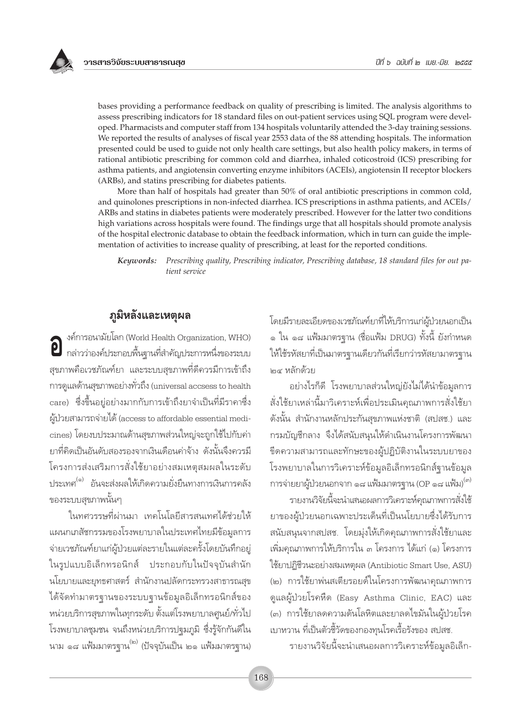bases providing a performance feedback on quality of prescribing is limited. The analysis algorithms to assess prescribing indicators for 18 standard files on out-patient services using SQL program were developed. Pharmacists and computer staff from 134 hospitals voluntarily attended the 3-day training sessions. We reported the results of analyses of fiscal year 2553 data of the 88 attending hospitals. The information presented could be used to guide not only health care settings, but also health policy makers, in terms of rational antibiotic prescribing for common cold and diarrhea, inhaled coticostroid (ICS) prescribing for asthma patients, and angiotensin converting enzyme inhibitors (ACEIs), angiotensin II receptor blockers (ARBs), and statins prescribing for diabetes patients.

More than half of hospitals had greater than 50% of oral antibiotic prescriptions in common cold, and quinolones prescriptions in non-infected diarrhea. ICS prescriptions in asthma patients, and ACEIs/ ARBs and statins in diabetes patients were moderately prescribed. However for the latter two conditions high variations across hospitals were found. The findings urge that all hospitals should promote analysis of the hospital electronic database to obtain the feedback information, which in turn can guide the implementation of activities to increase quality of prescribing, at least for the reported conditions.

Prescribing quality, Prescribing indicator, Prescribing database, 18 standard files for out pa-Keywords: tient service

## ภูมิหลังและเหตุผล

งค์การอนามัยโลก (World Health Organization, WHO) **2** กล่าวว่าองค์ประกอบพื้นฐานที่สำคัญประการหนึ่งของระบบ สุขภาพคือเวชภัณฑ์ยา และระบบสุขภาพที่ดีควรมีการเข้าถึง การดูแลด้านสุขภาพอย่างทั่วถึง (universal accsess to health care) ซึ่งขึ้นอยู่อย่างมากกับการเข้าถึงยาจำเป็นที่มีราคาซึ่ง ผู้ป่วยสามารถจ่ายได้ (access to affordable essential medicines) โดยงบประมาณด้านสุขภาพส่วนใหญ่จะถูกใช้ไปกับค่า ยาที่คิดเป็นอันดับสองรองจากเงินเดือนค่าจ้าง ดังนั้นจึงควรมี โครงการส่งเสริมการสั่งใช้ยาอย่างสมเหตุสมผลในระดับ ประเทศ<sup>(๑)</sup> อันจะส่งผลให้เกิดความยั่งยืนทางการเงินการคลัง ของระบบสุขภาพนั้นๆ

ในทศวรรษที่ผ่านมา เทคโนโลยีสารสนเทศได้ช่วยให้ แผนกเภสัชกรรมของโรงพยาบาลในประเทศไทยมีข้อมูลการ จ่ายเวชภัณฑ์ยาแก่ผู้ป่วยแต่ละรายในแต่ละครั้งโดยบันทึกอยู่ ในรูปแบบอิเล็กทรอนิกส์ ประกอบกับในปัจจุบันสำนัก นโยบายและยุทธศาสตร์ สำนักงานปลัดกระทรวงสาธารณสุข ได้จัดทำมาตรฐานของระบบฐานข้อมูลอิเล็กทรอนิกส์ของ หน่วยบริการสุขภาพในทุกระดับ ตั้งแต่โรงพยาบาลศูนย์/ทั่วไป โรงพยาบาลชุมชน จนถึงหน่วยบริการปฐมภูมิ ซึ่งรู้จักกันดีใน ีนาม ๑๘ แฟ้มมาตรฐาน<sup>(๒)</sup> (ปัจจุบันเป็น ๒๑ แฟ้มมาตรฐาน)

โดยมีรายละเอียดของเวชภัณฑ์ยาที่ให้บริการแก่ผู้ป่วยนอกเป็น ๑ ใน ๑๘ แฟ้มมาตรจาน (ชื่อแฟ้ม DRUG) ทั้งนี้ ยังกำหนด ให้ใช้รหัสยาที่เป็นมาตรฐานเดียวกันที่เรียกว่ารหัสยามาตรฐาน l๓๔ หลักด้วย

้อย่างไรก็ดี โรงพยาบาลส่วนใหญ่ยังไม่ได้นำข้อมูลการ สั่งใช้ยาเหล่านี้มาวิเคราะห์เพื่อประเมินคุณภาพการสั่งใช้ยา ดังนั้น สำนักงานหลักประกันสุขภาพแห่งชาติ (สปสช.) และ ้กรมบัญชีกลาง จึงได้สนับสนุนให้ดำเนินงานโครงการพัฒนา ขีดความสามารถและทักษะของผู้ปฏิบัติงานในระบบยาของ โรงพยาบาลในการวิเคราะห์ข้อมูลอิเล็กทรอนิกส์ฐานข้อมูล การจ่ายยาผู้ป่วยนอกจาก ๑๘ แฟ้มมาตรฐาน (OP ๑๘ แฟ้ม)<sup>(๓)</sup>

รายงานวิจัยนี้จะนำเสนอผลการวิเคราะห์คุณภาพการสั่งใช้ ยาของผู้ป่วยนอกเฉพาะประเด็นที่เป็นนโยบายซึ่งได้รับการ สนับสนุนจากสปสช. โดยมุ่งให้เกิดคุณภาพการสั่งใช้ยาและ เพิ่มคุณภาพการให้บริการใน ๓ โครงการ ได้แก่ (๑) โครงการ ใช้ยาปฏิชีวนะอย่างสมเหตุผล (Antibiotic Smart Use, ASU) (๒) การใช้ยาพ่นสเตียรอยด์ในโครงการพัฒนาคุณภาพการ ดูแลผู้ป่วยโรคหืด (Easy Asthma Clinic, EAC) และ (๓) การใช้ยาลดความดันโลหิตและยาลดไขมันในผ้ป่วยโรค เบาหวาน ที่เป็นตัวชี้วัดของกองทุนโรคเรื้อรังของ สปสช.

รายงานวิจัยนี้จะนำเสนอผลการวิเคราะห์ข้อมูลอิเล็ก-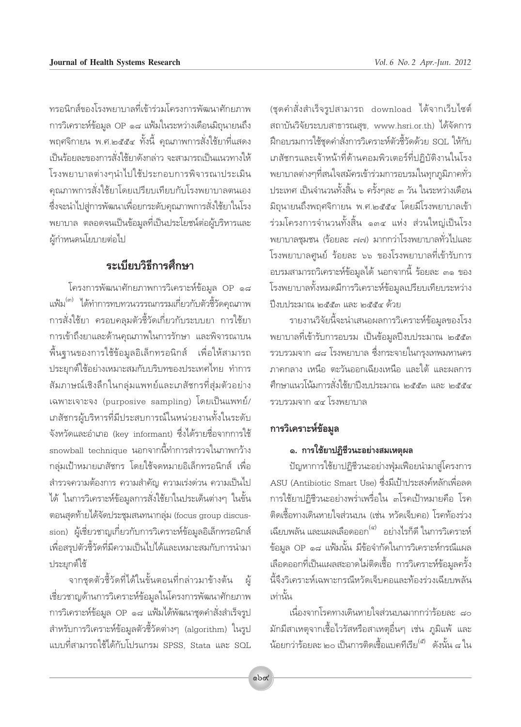ทรอนิกส์ของโรงพยาบาลที่เข้าร่วมโครงการพัฒนาศักยภาพ การวิเคราะห์ข้อมูล OP ๑๘ แฟ้มในระหว่างเดือนมิถุนายนถึง พฤศจิกายน พ.ศ.๒๕๕๔ ทั้งนี้ คุณภาพการสั่งใช้ยาที่แสดง เป็นร้อยละของการสั่งใช้ยาดังกล่าว จะสามารถเป็นแนวทางให้ โรงพยาบาลต่างๆนำไปใช้ประกอบการพิจารณาประเมิน คุณภาพการสั่งใช้ยาโดยเปรียบเทียบกับโรงพยาบาลตนเอง ซึ่งจะนำไปส่การพัฒนาเพื่อยกระดับคณภาพการสั่งใช้ยาในโรง พยาบาล ตลอดจนเป็นข้อมูลที่เป็นประโยชน์ต่อผู้บริหารและ ผ้กำหนดนโยบายต่อไป

## ระเบียบวิธีการศึกษา

โครงการพัฒนาศักยภาพการวิเคราะห์ข้อมูล OP ๑๘ แฟ้ม<sup>(๓)</sup> ได้ทำการทบทวนวรรณกรรมเกี่ยวกับตัวชี้วัดคุณภาพ การสั่งใช้ยา ครอบคลมตัวชี้วัดเกี่ยวกับระบบยา การใช้ยา การเข้าถึงยาและด้านคุณภาพในการรักษา และพิจารณาบน ์พื้นฐานของการใช้ข้อมูลอิเล็กทรอนิกส์ เพื่อให้สามารถ ประยุกต์ใช้อย่างเหมาะสมกับบริบทของประเทศไทย ทำการ สัมภาษณ์เชิงลึกในกลุ่มแพทย์และเภสัชกรที่สุ่มตัวอย่าง เฉพาะเจาะจง (purposive sampling) โดยเป็นแพทย์/ เภสัชกรผ้บริหารที่มีประสบการณ์ในหน่วยงานทั้งในระดับ จังหวัดและอำเภอ (key informant) ซึ่งได้รายชื่อจากการใช้ snowball technique นอกจากนี้ทำการสำรวจในภาพกว้าง กลุ่มเป้าหมายเภสัชกร โดยใช้จดหมายอิเล็กทรอนิกส์ เพื่อ สำรวจความต้องการ ความสำคัญ ความเร่งด่วน ความเป็นไป ได้ ในการวิเคราะห์ข้อมูลการสั่งใช้ยาในประเด็นต่างๆ ในขั้น ตอนสุดท้ายได้จัดประชุมสนทนากลุ่ม (focus group discussion) ผู้เชี่ยวชาญเกี่ยวกับการวิเคราะห์ข้อมูลอิเล็กทรอนิกส์ เพื่อสรปตัวชี้วัดที่มีความเป็นไปได้และเหมาะสมกับการนำมา ประยุกต์ใช้

จากชุดตัวชี้วัดที่ได้ในขั้นตอนที่กล่าวมาข้างต้น ผ้ เชี่ยวชาญด้านการวิเคราะห์ข้อมูลในโครงการพัฒนาศักยภาพ การวิเคราะห์ข้อมูล OP ๑๘ แฟ้มได้พัฒนาชุดคำสั่งสำเร็จรูป สำหรับการวิเคราะห์ข้อมูลตัวชี้วัดต่างๆ (algorithm) ในรูป แบบที่สามารถใช้ได้กับโปรแกรม SPSS, Stata และ SOL

(ชุดคำสั่งสำเร็จรูปสามารถ download ได้จากเว็บไซต์ สถาบันวิจัยระบบสาธารณสุข, www.hsri.or.th) ได้จัดการ ฝึกอบรมการใช้ชุดคำสั่งการวิเคราะห์ตัวชี้วัดด้วย SQL ให้กับ เภสัชกรและเจ้าหน้าที่ด้านคอมพิวเตอร์ที่ปฏิบัติงานในโรง ้พยาบาลต่างๆที่สนใจสมัครเข้าร่วมการอบรมในทุกภูมิภาคทั่ว ประเทศ เป็นจำนวนทั้งสิ้น ๖ ครั้งๆละ ๓ วัน ในระหว่างเดือน มิถนายนถึงพฤศจิกายน พ.ศ.๒๕๕๔ โดยมีโรงพยาบาลเข้า ร่วมโครงการจำนวนทั้งสิ้น ๑๓๔ แห่ง ส่วนใหญ่เป็นโรง ้พยาบาลชมชน (ร้อยละ ๗๗) มากกว่าโรงพยาบาลทั่วไปและ โรงพยาบาลศูนย์ ร้อยละ ๖๖ ของโรงพยาบาลที่เข้ารับการ อบรมสามารถวิเคราะห์ข้อมูลได้ นอกจากนี้ ร้อยละ ๓๑ ของ โรงพยาบาลทั้งหมดมีการวิเคราะห์ข้อมูลเปรียบเทียบระหว่าง ปี่งบประมาณ ๒๕๕๓ และ ๒๕๕๔ ด้วย

รายงานวิจัยนี้จะนำเสนอผลการวิเคราะห์ข้อมูลของโรง ้พยาบาลที่เข้ารับการอบรม เป็นข้อมูลปี่งบประมาณ ๒๕๕๓ ้รวบรวมจาก ๘๘ โรงพยาบาล ซึ่งกระจายในกรุงเทพมหานคร ภาคกลาง เหนือ ตะวันออกเฉียงเหนือ และใต้ และผลการ ์ศึกษาแนวโน้มการสั่งใช้ยาปีงบประมาณ ๒๕๕๓ และ ๒๕๕๔ รวบรวมจาก ๔๔ โรงพยาบาล

### การวิเคราะห์ข้อมูล

#### ๑. การใช้ยาปฏิชีวนะอย่างสมเหตุผล

ปัญหาการใช้ยาปฏิชีวนะอย่างฟุ่มเฟื่อยนำมาสู่โครงการ ASU (Antibiotic Smart Use) ซึ่งมีเป้าประสงค์หลักเพื่อลด การใช้ยาปฏิชีวนะอย่างพร่ำเพรื่อใน ๓โรคเป้าหมายคือ โรค ติดเชื้อทางเดินหายใจส่วนบน (เช่น หวัดเจ็บคอ) โรคท้องร่วง เฉียบพลัน และแผลเลือดออก<sup>(๔)</sup> อย่างไรก็ดี ในการวิเคราะห์ ข้อมูล OP ๑๘ แฟ้มนั้น มีข้อจำกัดในการวิเคราะห์กรณีแผล เลือดออกที่เป็นแผลสะอาดไม่ติดเชื้อ การวิเคราะห์ข้อมูลครั้ง นี้จึงวิเคราะห์เฉพาะกรณีหวัดเจ็บคอและท้องร่วงเฉียบพลัน เท่านั้น

เนื่องจากโรคทางเดินหายใจส่วนบนมากกว่าร้อยละ ๘๐ ้มักมีสาเหตุจากเชื้อไวรัสหรือสาเหตุอื่นๆ เช่น ภูมิแพ้ และ น้อยกว่าร้อยละ ๒๐ เป็นการติดเชื้อแบคทีเรีย<sup>(๕)</sup> ดังนั้น ๘ ใน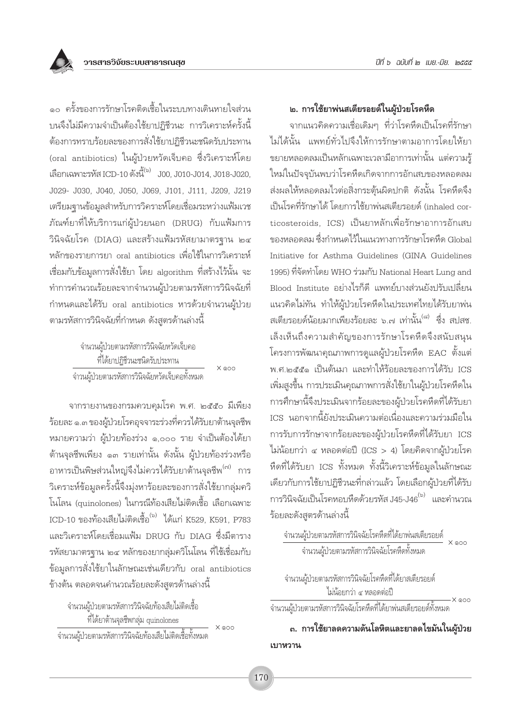

๑๐ ครั้งของการรักษาโรคติดเชื้อในระบบทางเดินหายใจส่วน ้บนจึงไม่มีความจำเป็นต้องใช้ยาปฏิชีวนะ การวิเคราะห์ครั้งนี้ ต้องการทราบร้อยละของการสั่งใช้ยาปฏิชีวนะชนิดรับประทาน (oral antibiotics) ในผู้ป่วยหวัดเจ็บคอ ซึ่งวิเคราะห์โดย เลือกเฉพาะรหัส ICD-10 ดังนี้<sup>(๖)</sup> J00. J010-J014. J018-J020. J029- J030, J040, J050, J069, J101, J111, J209, J219 เตรียมฐานข้อมูลสำหรับการวิคราะห์โดยเชื่อมระหว่างแฟ้มเวช .ภัณฑ์ยาที่ให้บริการแก่ผู้ป่วยนอก (DRUG) กับแฟ้มการ วินิจฉัยโรค (DIAG) และสร้างแฟ้มรหัสยามาตรจาน ๒๔ หลักของรายการยา oral antibiotics เพื่อใช้ในการวิเคราะห์ เชื่อมกับข้อมูลการสั่งใช้ยา โดย algorithm ที่สร้างไว้นั้น จะ ทำการคำนวณร้อยละจากจำนวนผู้ป่วยตามรหัสการวินิจฉัยที่ กำหนดและได้รับ oral antibiotics หารด้วยจำนวนผู้ป่วย ิตามรหัสการวินิจฉัยที่กำหนด ดังสูตรด้านล่างนี้

| จำนวนผู้ป่วยตามรหัสการวินิจฉัยหวัดเจ็บคอ       |         |
|------------------------------------------------|---------|
| ที่ได้ยาปฏิชีวนะชนิดรับประทาน                  |         |
| จำวนผู้ป่วยตามรหัสการวินิจฉัยหวัดเจ็บคอทั้งหมด | $X$ @00 |

จากรายงานของกรมควบคุมโรค พ.ศ. ๒๕๕๐ มีเพียง ร้อยละ ๑.๓ ของผู้ป่วยโรคอุจจาระร่วงที่ควรได้รับยาต้านจุลชีพ หมายความว่า ผู้ป่วยท้องร่วง ๑,๐๐๐ ราย จำเป็นต้องได้ยา ต้านจุลชีพเพียง ๑๓ รายเท่านั้น ดังนั้น ผู้ป่วยท้องร่วงหรือ ้อาหารเป็นพิษส่วนใหญ่จึงไม่ควรได้รับยาต้านจุลชีพ<sup>(๗)</sup> การ วิเคราะห์ข้อมูลครั้งนี้จึงมุ่งหาร้อยละของการสั่งใช้ยากลุ่มควิ โนโลน (quinolones) ในกรณีท้องเสียไม่ติดเชื้อ เลือกเฉพาะ ICD-10 ของท้องเสียไม่ติดเชื้อ<sup>(๖)</sup> ได้แก่ K529, K591, P783 และวิเคราะห์โดยเชื่อมแฟ้ม DRUG กับ DIAG ซึ่งมีตาราง รหัสยามาตรฐาน ๒๔ หลักของยากลุ่มควิโนโลน ที่ใช้เชื่อมกับ ข้อมูลการสั่งใช้ยาในลักษณะเช่นเดียวกับ oral antibiotics ข้างต้น ตลอดจนคำนวณร้อยละดังสูตรด้านล่างนี้

จำนวนผู้ป่วยตามรหัสการวินิจฉัยท้องเสียไม่ติดเชื้อ ที่ได้ยาต้านจุลชีพกลุ่ม quinolones  $X \otimes C$ ้จำนวนผู้ป่วยตามรหัสการวินิจฉัยท้องเสียไม่ติดเชื้อทั้งหมด

#### ๒. การใช้ยาพ่นสเตียรอยด์ในผู้ป่วยโรคหืด

จากแนวคิดความเชื่อเดิมๆ ที่ว่าโรคหืดเป็นโรคที่รักษา ไม่ได้นั้น แพทย์ทั่วไปจึงให้การรักษาตามอาการโดยให้ยา ขยายหลอดลมเป็นหลักเฉพาะเวลามีอาการเท่านั้น แต่ความรู้ ใหม่ในปัจจุบันพบว่าโรคหืดเกิดจากการอักเสบของหลอดลม ส่งผลให้หลอดลมไวต่อสิ่งกระตุ้นผิดปกติ ดังนั้น โรคหืดจึง เป็นโรคที่รักษาได้ โดยการใช้ยาพ่นสเตียรอยด์ (inhaled corticosteroids. ICS) เป็นยาหลักเพื่อรักษาอาการอักเสบ ของหลอดลม ซึ่งกำหนดไว้ในแนวทางการรักษาโรคหืด Global Initiative for Asthma Guidelines (GINA Guidelines 1995) ที่จัดทำโดย WHO ร่วมกับ National Heart Lung and Blood Institute อย่างไรก็ดี แพทย์บางส่วนยังปรับเปลี่ยน แนวคิดไม่ทัน ทำให้ผู้ป่วยโรคหืดในประเทศไทยได้รับยาพ่น สเตียรอยด์น้อยมากเพียงร้อยละ ๖.๗ เท่านั้น<sup>(๘)</sup> ซึ่ง สปสช. เล็งเห็นถึงความสำคัญของการรักษาโรคหืดจึงสนับสนุน โครงการพัฒนาคุณภาพการดูแลผู้ป่วยโรคหืด EAC ตั้งแต่ พ.ศ.๒๕๕๑ เป็นต้นมา และทำให้ร้อยละของการได้รับ ICS เพิ่มสูงขึ้น การประเมินคุณภาพการสั่งใช้ยาในผู้ป่วยโรคหืดใน การศึกษานี้จึงประเมินจากร้อยละของผู้ป่วยโรคหืดที่ได้รับยา ICS นอกจากนี้ยังประเมินความต่อเนื่องและความร่วมมือใน การรับการรักษาจากร้อยละของผู้ป่วยโรคหืดที่ได้รับยา ICS ไม่น้อยกว่า ๔ หลอดต่อปี (ICS > 4) โดยคิดจากผู้ป่วยโรค หืดที่ได้รับยา ICS ทั้งหมด ทั้งนี้วิเคราะห์ข้อมูลในลักษณะ เดียวกับการใช้ยาปฏิชีวนะที่กล่าวแล้ว โดยเลือกผู้ป่วยที่ได้รับ การวินิจฉัยเป็นโรคหอบหืดด้วยรหัส J45-J46 $^{\text{\tiny{(b)}}}$  และคำนวณ ร้อยละดังสูตรด้านล่างนี้

จำนวนผู้ป่วยตามรหัสการวินิจฉัยโรคหืดที่ได้ยาสเตียรอยด์ ไม่น้อยกว่า ๔ หลอดต่อปี  $-X$  @00

-<br>จำนวนผู้ป่วยตามรหัสการวินิจฉัยโรคหืดที่ได้ยาพ่นสเตียรอยด์ทั้งหมด

.ถ. การใช้ยาลดความดันโลหิตและยาลดไขมันในผู้ป่วย เบาหวาน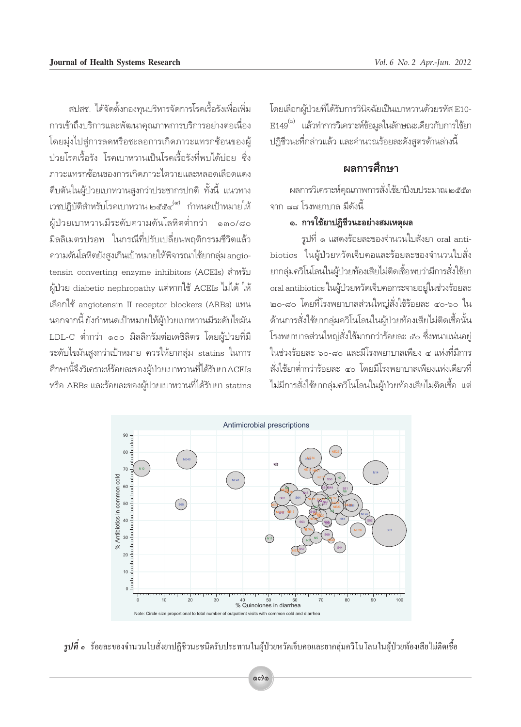สปสช. ได้จัดตั้งกองทนบริหารจัดการโรคเรื้อรังเพื่อเพิ่ม การเข้าถึงบริการและพัฒนาคุณภาพการบริการอย่างต่อเนื่อง โดยมุ่งไปสู่การลดหรือชะลอการเกิดภาวะแทรกซ้อนของผู้ ป่วยโรคเรื้อรัง โรคเบาหวานเป็นโรคเรื้อรังที่พบได้บ่อย ซึ่ง ภาวะแทรกซ้อนของการเกิดภาวะไตวายและหลอดเลือดแดง ตีบตันในผู้ป่วยเบาหวานสูงกว่าประชากรปกติ ทั้งนี้ แนวทาง เวชปฏิบัติสำหรับโรคเบาหวาน ๒๕๕๔ <sup>(๙)</sup> กำหนดเป้าหมายให้ ผู้ป่วยเบาหวานมีระดับความดันโลหิตต่ำกว่า ๑๓๐/๘๐ มิลลิเมตรปรอท ในกรณีที่ปรับเปลี่ยนพถติกรรมชีวิตแล้ว ความดันโลหิตยังสูงเกินเป้าหมายให้พิจารณาใช้ยากลุ่ม angiotensin converting enzyme inhibitors (ACEIs) สำหรับ ผู้ป่วย diabetic nephropathy แต่หากใช้ ACEIs ไม่ได้ ให้ เลือกใช้ angiotensin II receptor blockers (ARBs) แทน นอกจากนี้ ยังกำหนดเป้าหมายให้ผู้ป่วยเบาหวานมีระดับไขมัน LDL-C ต่ำกว่า ๑๐๐ มิลลิกรัมต่อเดซิลิตร โดยผู้ป่วยที่มี ระดับไขมันสูงกว่าเป้าหมาย ควรให้ยากลุ่ม statins ในการ ้ศึกษานี้จึงวิเคราะห์ร้อยละของผู้ป่วยเบาหวานที่ได้รับยา ACEIs หรือ ARBs และร้อยละของผ้ป่วยเบาหวานที่ได้รับยา statins

โดยเลือกผู้ป่วยที่ได้รับการวินิจฉัยเป็นเบาหวานด้วยรหัส E10-E149<sup>(๖)</sup> แล้วทำการวิเคราะห์ข้อมูลในลักษณะเดียวกับการใช้ยา ปฏิชีวนะที่กล่าวแล้ว และคำนวณร้อยละดังสูตรด้านล่างนี้

## ผลการศึกษา

ผลการวิเคราะห์คุณภาพการสั่งใช้ยาปีงบประมาณ ๒๕๕๓ จาก ๘๘ โรงพยาบาล มีดังนี้

#### ๑. การใช้ยาปฏิชีวนะอย่างสมเหตุผล

รูปที่ ๑ แสดงร้อยละของจำนวนใบสั่งยา oral antibiotics ในผู้ป่วยหวัดเจ็บคอและร้อยละของจำนวนใบสั่ง ยากลุ่มควิโนโลนในผู้ป่วยท้องเสียไม่ติดเชื้อพบว่ามีการสั่งใช้ยา oral antibiotics ในผู้ป่วยหวัดเจ็บคอกระจายอยู่ในช่วงร้อยละ ๒๐-๘๐ โดยที่โรงพยาบาลส่วนใหญ่สั่งใช้ร้อยละ ๔๐-๖๐ ใน ด้านการสั่งใช้ยากลุ่มควิโนโลนในผู้ป่วยท้องเสียไม่ติดเชื้อนั้น โรงพยาบาลส่วนใหญ่สั่งใช้มากกว่าร้อยละ ๕๐ ซึ่งหนาแน่นอยู่ ในช่วงร้อยละ ๖๐-๘๐ และมีโรงพยาบาลเพียง ๔ แห่งที่มีการ สั่งใช้ยาต่ำกว่าร้อยละ ๔๐ โดยมีโรงพยาบาลเพียงแห่งเดียวที่ ไม่มีการสั่งใช้ยากลุ่มควิโนโลนในผู้ป่วยท้องเสียไม่ติดเชื้อ แต่



 $\tilde{z}$ ปที่ ๑ ร้อยละของจำนวนใบสั่งยาปฏิชีวนะชนิดรับประทานในผู้ป่วยหวัดเจ็บคอและยากลุ่มควิโนโลนในผู้ป่วยท้องเสียไม่ติดเชื้อ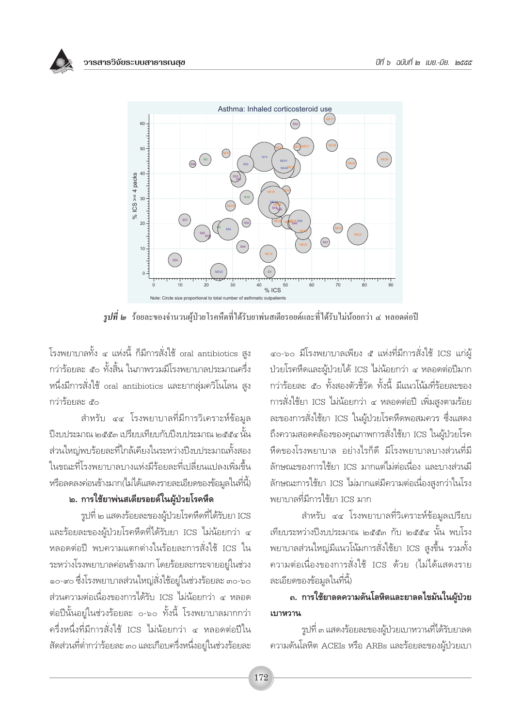



 $\,$ รูปที่ ๒  $\,$  ร้อยละของจำนวนผู้ป่วยโรคหืดที่ได้รับยาพ่นสเตียรอยด์และที่ได้รับไม่น้อยกว่า ๔ หลอดต่อปี

โรงพยาบาลทั้ง ๔ แห่งนี้ ก็มีการสั่งใช้ oral antibiotics สูง กว่าร้อยละ ๕๐ ทั้งสิ้น ในภาพรวมมีโรงพยาบาลประมาณครึ่ง หนึ่งมีการสั่งใช้ oral antibiotics และยากลุ่มควิโนโลน สูง กว่าร้อยละ ส<sub>ั</sub>ด

สำหรับ ๔๔ โรงพยาบาลที่มีการวิเคราะห์ข้อมล ปีงบประมาณ ๒๕๕๓ เปรียบเทียบกับปีงบประมาณ ๒๕๕๔ นั้น ส่วนใหญ่พบร้อยละที่ใกล้เคียงในระหว่างปีงบประมาณทั้งสอง ในขณะที่โรงพยาบาลบางแห่งมีร้อยละที่เปลี่ยนแปลงเพิ่มขึ้น หรือลดลงค่อนข้างมาก(ไม่ได้แสดงรายละเอียดของข้อมูลในที่นี้)

### ๒. การใช้ยาพ่นสเตียรอยด์ในผู้ป่วยโรคหืด

รูปที่ ๒ แสดงร้อยละของผู้ป่วยโรคหืดที่ได้รับยา ICS และร้อยละของผู้ป่วยโรคหืดที่ได้รับยา ICS ไม่น้อยกว่า ๔ หลอดต่อปี พบความแตกต่างในร้อยละการสั่งใช้ ICS ใน ระหว่างโรงพยาบาลค่อนข้างมาก โดยร้อยละกระจายอยู่ในช่วง ๑๐-๙๐ ซึ่งโรงพยาบาลส่วนใหญ่สั่งใช้อยู่ในช่วงร้อยละ ๓๐-๖๐ ส่วนความต่อเนื่องของการได้รับ ICS ไม่น้อยกว่า ๔ หลอด ต่อปีนั้นอย่ในช่วงร้อยละ ๐-๖๐ ทั้งนี้ โรงพยาบาลมากกว่า ครึ่งหนึ่งที่มีการสั่งใช้ ICS ไม่น้อยกว่า ๔ หลอดต่อปีใน สัดส่วนที่ต่ำกว่าร้อยละ ๓๐ และเกือบครึ่งหนึ่งอยู่ในช่วงร้อยละ ๔๐-๖๐ มีโรงพยาบาลเพียง ๕ แห่งที่มีการสั่งใช้ ICS แก่ผู้ ป่วยโรคหืดและผู้ป่วยได้ ICS ไม่น้อยกว่า ๔ หลอดต่อปีมาก กว่าร้อยละ ๕๐ ทั้งสองตัวชี้วัด ทั้งนี้ มีแนวโน้มที่ร้อยละของ การสั่งใช้ยา ICS ไม่น้อยกว่า ๔ หลอดต่อปี เพิ่มสูงตามร้อย ิละของการสั่งใช้ยา ICS ในผู้ป่วยโรคหืดพอสมควร ซึ่งแสดง ถึงความสอดคล้องของคุณภาพการสั่งใช้ยา ICS ในผู้ป่วยโรค หืดของโรงพยาบาล อย่างไรก็ดี มีโรงพยาบาลบางส่วนที่มี ลักษณะของการใช้ยา ICS มากแต่ไม่ต่อเนื่อง และบางส่วนมื ลักษณะการใช้ยา ICS ไม่มากแต่มีความต่อเนื่องสูงกว่าในโรง ็พยาบาลที่มีการใช้ยา ICS มาก

สำหรับ ๔๔ โรงพยาบาลที่วิเคราะห์ข้อมลเปรียบ เทียบระหว่างปิ่งบประมาณ ๒๕๕๓ กับ ๒๕๕๔ นั้น พบโรง ่ พยาบาลส่วนใหญ่มีแนวโน้มการสั่งใช้ยา ICS สูงขึ้น รวมทั้ง ความต่อเนื่องของการสั่งใช้ ICS ด้วย (ไม่ได้แสดงราย ละเอียดของข้อมูลในที่นี้)

## .ถ. การใช้ยาลดความดันโลหิตและยาลดไขมันในผู้ป่วย เบาหวาน

รูปที่ ๓ แสดงร้อยละของผู้ป่วยเบาหวานที่ได้รับยาลด ความดันโลหิต ACEIs หรือ ARBs และร้อยละของผู้ป่วยเบา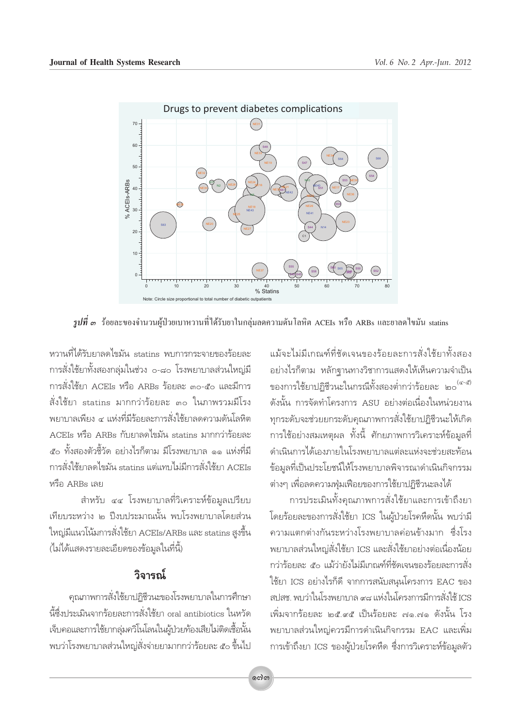

 $\tilde{z}$ ปที่ ๓ ร้อยละของจำนวนผู้ป่วยเบาหวานที่ได้รับยาในกลุ่มลดความดันโลหิต ACEIs หรือ ARBs และยาลดไขมัน statins

หวานที่ได้รับยาลดไขมัน statins พบการกระจายของร้อยละ การสั่งใช้ยาทั้งสองกลุ่มในช่วง ๐-๘๐ โรงพยาบาลส่วนใหญ่มี การสั่งใช้ยา ACEIs หรือ ARBs ร้อยละ ๓๐-๕๐ และมีการ สั่งใช้ยา statins มากกว่าร้อยละ ๓๐ ในภาพรวมมีโรง ้พยาบาลเพียง ๔ แห่งที่มีร้อยละการสั่งใช้ยาลดความดันโลหิต ACEIs หรือ ARBs กับยาลดไขมัน statins มากกว่าร้อยละ ๕๐ ทั้งสองตัวชี้วัด อย่างไรก็ตาม มีโรงพยาบาล ๑๑ แห่งที่มี การสั่งใช้ยาลดไขมัน statins แต่แทบไม่มีการสั่งใช้ยา ACEIs หรือ ARBs เลย

สำหรับ ๔๔ โรงพยาบาลที่วิเคราะห์ข้อมูลเปรียบ เทียบระหว่าง ๒ ปี่งบประมาณนั้น พบโรงพยาบาลโดยส่วน ใหญ่มีแนวโน้มการสั่งใช้ยา ACEIs/ARBs และ statins สูงขึ้น (ไม่ได้แสดงรายละเอียดของข้อมูลในที่นี้)

# วิจารณ์

้คุณภาพการสั่งใช้ยาปฏิชีวนะของโรงพยาบาลในการศึกษา นี้ซึ่งประเมินจากร้อยละการสั่งใช้ยา oral antibiotics ในหวัด เจ็บคอและการใช้ยากลุ่มควิโนโลนในผู้ป่วยท้องเสียไม่ติดเชื้อนั้น ้พบว่าโรงพยาบาลส่วนใหญ่สั่งจ่ายยามากกว่าร้อยละ ๕๐ ขึ้นไป

แม้จะไม่มีเกณฑ์ที่ชัดเจนของร้อยละการสั่งใช้ยาทั้งสอง ้อย่างไรก็ตาม หลักฐานทางวิชาการแสดงให้เห็นความจำเป็น ของการใช้ยาปฏิชีวนะในกรณีทั้งสองต่ำกว่าร้อยละ ๒๐ (๔-๕) ดังนั้น การจัดทำโครงการ ASU อย่างต่อเนื่องในหน่วยงาน ทุกระดับจะช่วยยกระดับคุณภาพการสั่งใช้ยาปฏิชีวนะให้เกิด การใช้อย่างสมเหตุผล ทั้งนี้ ศักยภาพการวิเคราะห์ข้อมูลที่ ดำเนินการได้เองภายในโรงพยาบาลแต่ละแห่งจะช่วยสะท้อน ข้อมูลที่เป็นประโยชน์ให้โรงพยาบาลพิจารณาดำเนินกิจกรรม ต่างๆ เพื่อลดความฟุ่มเฟือยของการใช้ยาปฏิชีวนะลงได้

การประเมินทั้งคุณภาพการสั่งใช้ยาและการเข้าถึงยา โดยร้อยละของการสั่งใช้ยา ICS ในผู้ป่วยโรคหืดนั้น พบว่ามี ้ความแตกต่างกันระหว่างโรงพยาบาลค่อนข้างมาก ซึ่งโรง ็พยาบาลส่วนใหญ่สั่งใช้ยา ICS และสั่งใช้ยาอย่างต่อเนื่องน้อย กว่าร้อยละ ๕๐ แม้ว่ายังไม่มีเกณฑ์ที่ชัดเจนของร้อยละการสั่ง ใช้ยา ICS อย่างไรก็ดี จากการสนับสนุนโครงการ EAC ของ สปสช. พบว่าในโรงพยาบาล ๙๘ แห่งในโครงการมีการสั่งใช้ ICS เพิ่มจากร้อยละ ๒๘ ๙๘ เป็นร้อยละ ๗๑ ๗๑ ดังนั้น โรง ็พยาบาลส่วนใหญ่ควรมีการดำเนินกิจกรรม EAC และเพิ่ม การเข้าถึงยา ICS ของผู้ป่วยโรคหืด ซึ่งการวิเคราะห์ข้อมูลตัว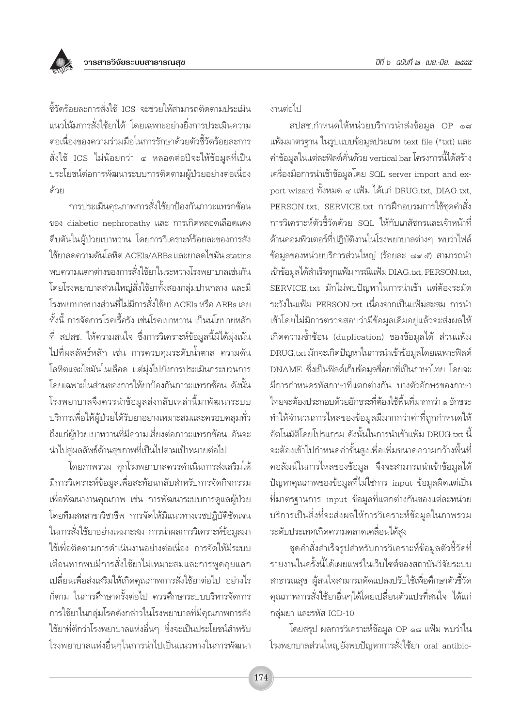ู้ชี้วัดร้อยละการสั่งใช้ ICS จะช่วยให้สามารถติดตามประเมิน แนวโน้มการสั่งใช้ยาได้ โดยเฉพาะอย่างยิ่งการประเมินความ ต่อเนื่องของความร่วมมือในการรักษาด้วยตัวซื้วัดร้อยละการ สั่งใช้ ICS ไม่น้อยกว่า ๔ หลอดต่อปีจะให้ข้อมูลที่เป็น ประโยชน์ต่อการพัฒนาระบบการติดตามผู้ป่วยอย่างต่อเนื่อง ด้วย

การประเมินคณภาพการสั่งใช้ยาป้องกันภาวะแทรกซ้อน ของ diabetic nephropathy และ การเกิดหลอดเลือดแดง ้ตีบตันในผู้ป่วยเบาหวาน โดยการวิเคราะห์ร้อยละของการสั่ง ใช้ยาลดความดันโลหิต ACEIs/ARBs และยาลดไขมัน statins ้พบความแตกต่างของการสั่งใช้ยาในระหว่างโรงพยาบาลเช่นกัน โดยโรงพยาบาลส่วนใหญ่สั่งใช้ยาทั้งสองกล่มปานกลาง และมื โรงพยาบาลบางส่วนที่ไม่มีการสั่งใช้ยา ACEIs หรือ ARBs เลย ้ทั้งนี้ การจัดการโรคเรื้อรัง เช่นโรคเบาหวาน เป็นนโยบายหลัก ู้ที่ สปสช. ให้ความสนใจ ซึ่งการวิเคราะห์ข้อมูลนี้มิได้มุ่งเน้น ไปที่ผลลัพธ์หลัก เช่น การควบคุมระดับน้ำตาล ความดัน โลหิตและไขมันในเลือด แต่มุ่งไปยังการประเมินกระบวนการ โดยเฉพาะในส่วนของการให้ยาป้องกันภาวะแทรกซ้อน ดังนั้น โรงพยาบาลจึงควรนำข้อมูลส่งกลับเหล่านี้มาพัฒนาระบบ บริการเพื่อให้ผู้ป่วยได้รับยาอย่างเหมาะสมและครอบคลุมทั่ว ถึงแก่ผู้ป่วยเบาหวานที่มีความเสี่ยงต่อภาวะแทรกช้อน อันจะ นำไปสู่ผลลัพธ์ด้านสุขภาพที่เป็นไปตามเป้าหมายต่อไป

โดยภาพรวม ทุกโรงพยาบาลควรดำเนินการส่งเสริมให้ มีการวิเคราะห์ข้อมูลเพื่อสะท้อนกลับสำหรับการจัดกิจกรรม เพื่อพัฒนางานคุณภาพ เช่น การพัฒนาระบบการดูแลผู้ป่วย โดยทีมสหสาขาวิชาชีพ การจัดให้มีแนวทางเวชปฏิบัติชัดเจน ในการสั่งใช้ยาอย่างเหมาะสม การนำผลการวิเคราะห์ข้อมลมา ใช้เพื่อติดตามการดำเนินงานอย่างต่อเนื่อง การจัดให้มีระบบ เตือนหากพบมีการสั่งใช้ยาไม่เหมาะสมและการพูดคุยแลก เปลี่ยนเพื่อส่งเสริมให้เกิดคุณภาพการสั่งใช้ยาต่อไป อย่างไร ก็ตาม ในการศึกษาครั้งต่อไป ควรศึกษาระบบบริหารจัดการ การใช้ยาในกลุ่มโรคดังกล่าวในโรงพยาบาลที่มีคุณภาพการสั่ง ใช้ยาที่ดีกว่าโรงพยาบาลแห่งอื่นๆ ซึ่งจะเป็นประโยชน์สำหรับ โรงพยาบาลแห่งอื่นๆในการนำไปเป็นแนวทางในการพัฒนา

งานต่อไป

สปสช.กำหนดให้หน่วยบริการนำส่งข้อมูล OP ๑๘ แฟ้มมาตรฐาน ในรูปแบบข้อมูลประเภท text file (\*txt) และ ค่าข้อมูลในแต่ละฟิลด์คั่นด้วย vertical bar โครงการนี้ได้สร้าง เครื่องมือการนำเข้าข้อมูลโดย SQL server import and export wizard ทั้งหมด ๔ แฟ้ม ได้แก่ DRUG.txt, DIAG.txt, PERSON txt. SERVICE txt การฝึกอบรมการใช้ชุดคำสั่ง การวิเคราะห์ตัวชี้วัดด้วย SQL ให้กับเภสัชกรและเจ้าหน้าที่ ด้านคอมพิวเตอร์ที่ปฏิบัติงานในโรงพยาบาลต่างๆ พบว่าไฟล์ ข้อมูลของหน่วยบริการส่วนใหญ่ (ร้อยละ ๘๙.๕) สามารถนำ เข้าข้อมูลได้สำเร็จทุกแฟ้ม กรณีแฟ้ม DIAG.txt, PERSON.txt, SERVICE.txt มักไม่พบปัญหาในการนำเข้า แต่ต้องระมัด ระวังในแฟ้ม PERSON.txt เนื่องจากเป็นแฟ้มสะสม การนำ เข้าโดยไม่มีการตรวจสอบว่ามีข้อมูลเดิมอยู่แล้วจะส่งผลให้ เกิดความซ้ำซ้อน (duplication) ของข้อมูลได้ ส่วนแฟ้ม DRUG.txt มักจะเกิดปัญหาในการนำเข้าข้อมูลโดยเฉพาะฟิลด์ DNAME ซึ่งเป็นฟิลด์เก็บข้อมูลชื่อยาที่เป็นภาษาไทย โดยจะ มีการกำหนดรหัสภาษาที่แตกต่างกัน บางตัวอักษรของภาษา ไทยจะต้องประกอบด้วยอักขระที่ต้องใช้พื้นที่มากกว่า ๑ อักขระ ทำให้จำนวนการไหลของข้อมูลมีมากกว่าค่าที่ถูกกำหนดให้ อัตโนมัติโดยโปรแกรม ดังนั้นในการนำเข้าแฟ้ม DRUG.txt นี้ จะต้องเข้าไปกำหนดค่าขั้นสูงเพื่อเพิ่มขนาดความกว้างพื้นที่ ้คอลัมน์ในการไหลของข้อมูล จึงจะสามารถนำเข้าข้อมูลได้ ้ปัญหาคุณภาพของข้อมูลที่ไม่ใช่การ input ข้อมูลผิดแต่เป็น ู้ที่มาตรฐานการ input ข้อมูลที่แตกต่างกันของแต่ละหน่วย บริการเป็นสิ่งที่จะส่งผลให้การวิเคราะห์ข้อมูลในภาพรวม ระดับประเทศเกิดความคลาดเคลื่อนได้สูง

ชุดคำสั่งสำเร็จรูปสำหรับการวิเคราะห์ข้อมูลตัวชี้วัดที่ รายงานในครั้งนี้ได้เผยแพร่ในเว็บไซต์ของสถาบันวิจัยระบบ สาธารณสุข ผู้สนใจสามารถดัดแปลงปรับใช้เพื่อศึกษาตัวชี้วัด คุณภาพการสั่งใช้ยาอื่นๆได้โดยเปลี่ยนตัวแปรที่สนใจ ได้แก่ กลุ่มยา และรหัส ICD-10

โดยสรุป ผลการวิเคราะห์ข้อมูล OP ๑๘ แฟ้ม พบว่าใน โรงพยาบาลส่วนใหญ่ยังพบปัญหาการสั่งใช้ยา oral antibio-